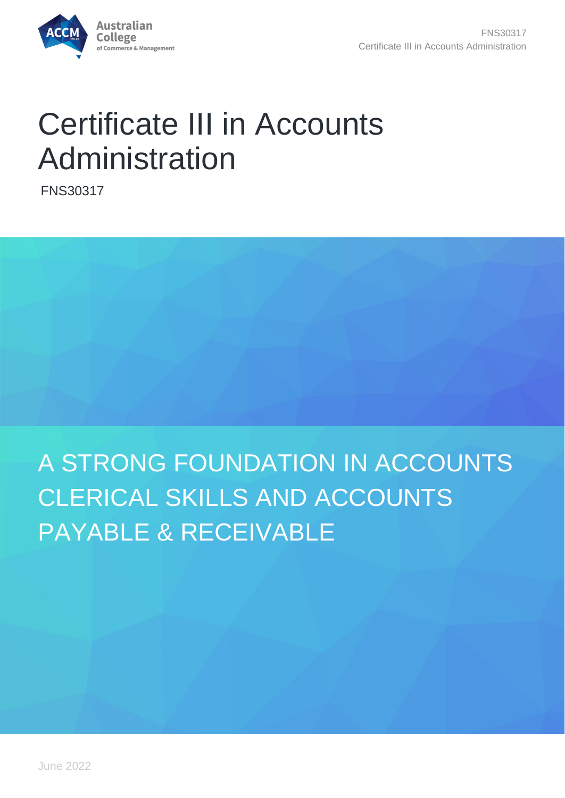

# Certificate III in Accounts Administration

FNS30317



# A STRONG FOUNDATION IN ACCOUNTS CLERICAL SKILLS AND ACCOUNTS PAYABLE & RECEIVABLE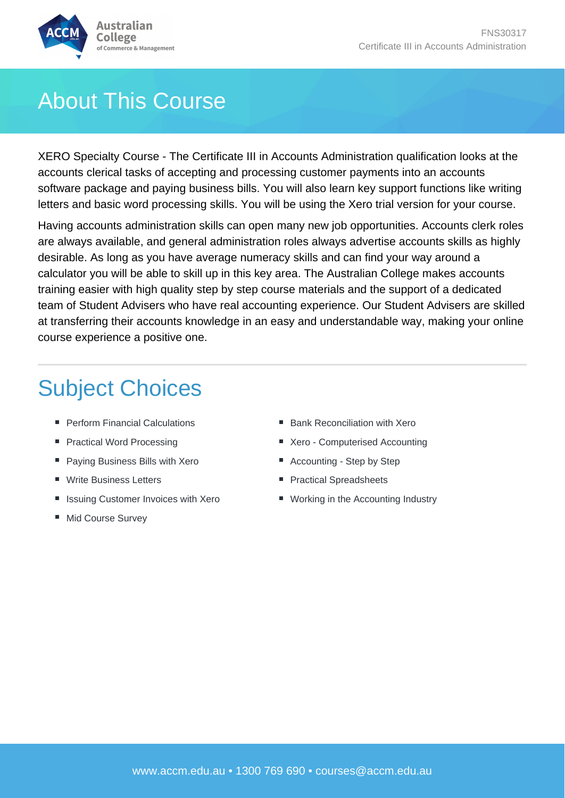

## About This Course

XERO Specialty Course - The Certificate III in Accounts Administration qualification looks at the accounts clerical tasks of accepting and processing customer payments into an accounts software package and paying business bills. You will also learn key support functions like writing letters and basic word processing skills. You will be using the Xero trial version for your course.

Having accounts administration skills can open many new job opportunities. Accounts clerk roles are always available, and general administration roles always advertise accounts skills as highly desirable. As long as you have average numeracy skills and can find your way around a calculator you will be able to skill up in this key area. The Australian College makes accounts training easier with high quality step by step course materials and the support of a dedicated team of Student Advisers who have real accounting experience. Our Student Advisers are skilled at transferring their accounts knowledge in an easy and understandable way, making your online course experience a positive one.

## Subject Choices

- **Perform Financial Calculations**
- Practical Word Processing
- **Paying Business Bills with Xero**
- Write Business Letters
- Issuing Customer Invoices with Xero
- Mid Course Survey
- Bank Reconciliation with Xero
- Xero Computerised Accounting
- Accounting Step by Step
- **Practical Spreadsheets**
- Working in the Accounting Industry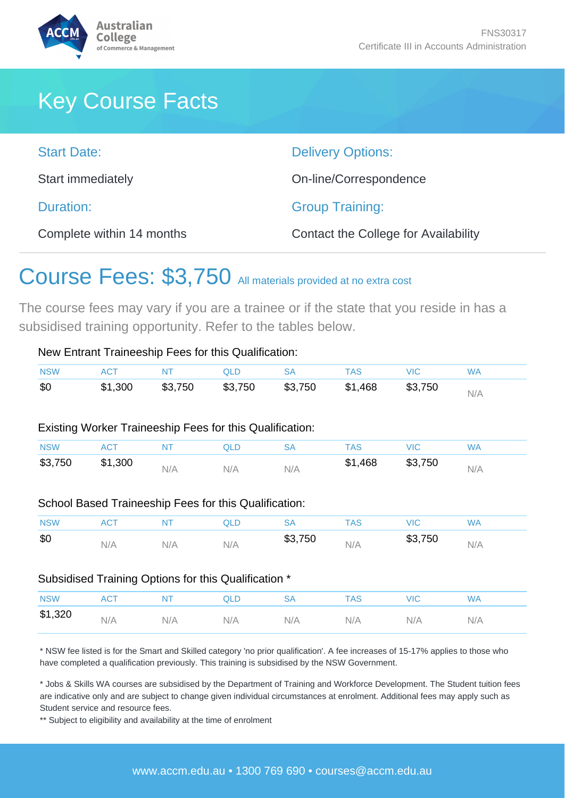

## Key Course Facts

| <b>Start Date:</b>        | <b>Delivery Options:</b>                    |
|---------------------------|---------------------------------------------|
| Start immediately         | On-line/Correspondence                      |
| Duration:                 | <b>Group Training:</b>                      |
| Complete within 14 months | <b>Contact the College for Availability</b> |

## Course Fees: \$3,750 All materials provided at no extra cost

The course fees may vary if you are a trainee or if the state that you reside in has a subsidised training opportunity. Refer to the tables below.

| <b>NSW</b>            | <b>ACT</b>                                                             | <b>NT</b> | <b>QLD</b> | <b>SA</b> | <b>TAS</b> | VIC.       | <b>WA</b> |
|-----------------------|------------------------------------------------------------------------|-----------|------------|-----------|------------|------------|-----------|
| \$0                   | \$1,300                                                                | \$3,750   | \$3,750    | \$3,750   | \$1,468    | \$3,750    | N/A       |
| <b>NSW</b>            | Existing Worker Traineeship Fees for this Qualification:<br><b>ACT</b> | <b>NT</b> | <b>QLD</b> | <b>SA</b> | <b>TAS</b> | <b>VIC</b> | <b>WA</b> |
|                       |                                                                        |           |            |           | \$1,468    | \$3,750    |           |
|                       | \$1,300                                                                | N/A       | N/A        | N/A       |            |            | N/A       |
| \$3,750<br><b>NSW</b> | School Based Traineeship Fees for this Qualification:<br><b>ACT</b>    | <b>NT</b> | <b>QLD</b> | <b>SA</b> | <b>TAS</b> | <b>VIC</b> | <b>WA</b> |

#### Subsidised Training Options for this Qualification \*

| <b>NSW</b> |     | N L | ו וכ | SΑ  | TAS. | MIG. | WA  |
|------------|-----|-----|------|-----|------|------|-----|
| \$1,320    | N/A | N/A | N/A  | N/A | N/A  | N/A  | N/A |

\* NSW fee listed is for the Smart and Skilled category 'no prior qualification'. A fee increases of 15-17% applies to those who have completed a qualification previously. This training is subsidised by the NSW Government.

\* Jobs & Skills WA courses are subsidised by the Department of Training and Workforce Development. The Student tuition fees are indicative only and are subject to change given individual circumstances at enrolment. Additional fees may apply such as Student service and resource fees.

\*\* Subject to eligibility and availability at the time of enrolment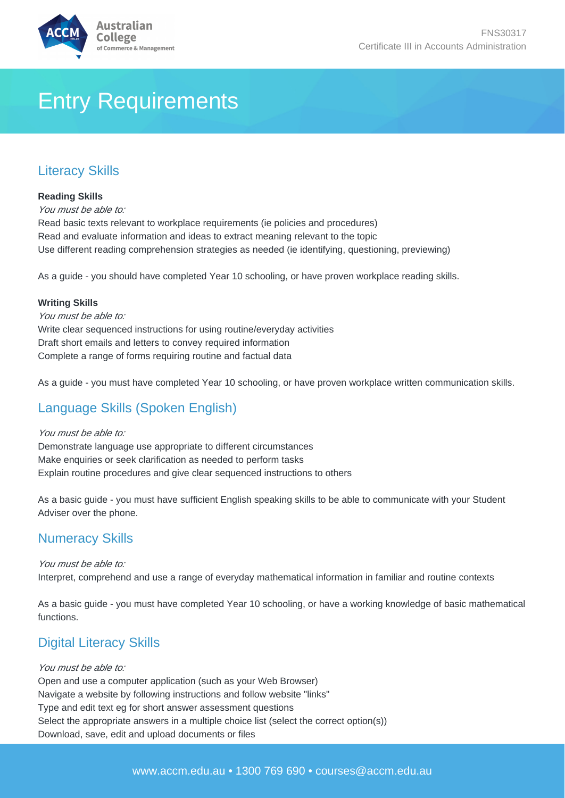

## Entry Requirements

### Literacy Skills

#### **Reading Skills**

You must be able to: Read basic texts relevant to workplace requirements (ie policies and procedures) Read and evaluate information and ideas to extract meaning relevant to the topic Use different reading comprehension strategies as needed (ie identifying, questioning, previewing)

As a guide - you should have completed Year 10 schooling, or have proven workplace reading skills.

#### **Writing Skills**

You must be able to: Write clear sequenced instructions for using routine/everyday activities Draft short emails and letters to convey required information Complete a range of forms requiring routine and factual data

As a guide - you must have completed Year 10 schooling, or have proven workplace written communication skills.

#### Language Skills (Spoken English)

#### You must be able to:

Demonstrate language use appropriate to different circumstances Make enquiries or seek clarification as needed to perform tasks Explain routine procedures and give clear sequenced instructions to others

As a basic guide - you must have sufficient English speaking skills to be able to communicate with your Student Adviser over the phone.

#### Numeracy Skills

You must be able to: Interpret, comprehend and use a range of everyday mathematical information in familiar and routine contexts

As a basic guide - you must have completed Year 10 schooling, or have a working knowledge of basic mathematical functions.

### Digital Literacy Skills

#### You must be able to:

Open and use a computer application (such as your Web Browser) Navigate a website by following instructions and follow website "links" Type and edit text eg for short answer assessment questions Select the appropriate answers in a multiple choice list (select the correct option(s)) Download, save, edit and upload documents or files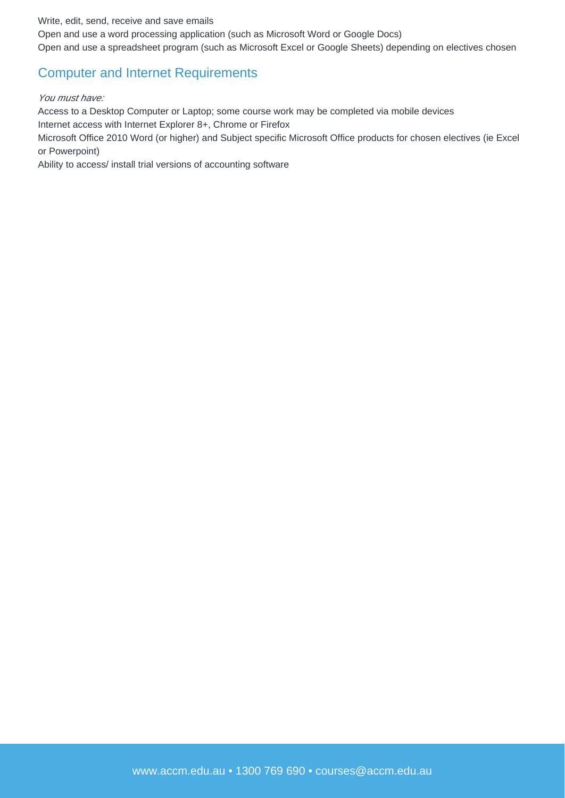Write, edit, send, receive and save emails

Open and use a word processing application (such as Microsoft Word or Google Docs) Open and use a spreadsheet program (such as Microsoft Excel or Google Sheets) depending on electives chosen

#### Computer and Internet Requirements

#### You must have:

Access to a Desktop Computer or Laptop; some course work may be completed via mobile devices Internet access with Internet Explorer 8+, Chrome or Firefox

Microsoft Office 2010 Word (or higher) and Subject specific Microsoft Office products for chosen electives (ie Excel or Powerpoint)

Ability to access/ install trial versions of accounting software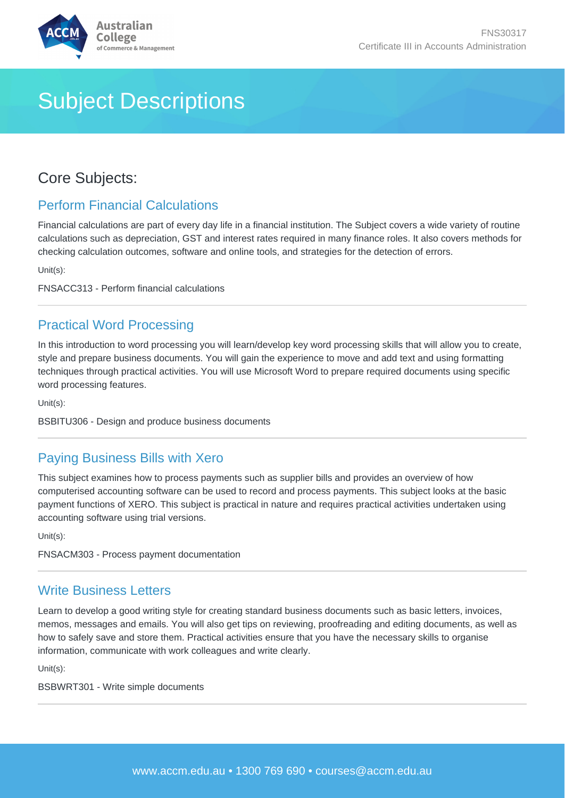

## Subject Descriptions

### Core Subjects:

#### Perform Financial Calculations

Financial calculations are part of every day life in a financial institution. The Subject covers a wide variety of routine calculations such as depreciation, GST and interest rates required in many finance roles. It also covers methods for checking calculation outcomes, software and online tools, and strategies for the detection of errors.

Unit(s):

FNSACC313 - Perform financial calculations

#### Practical Word Processing

In this introduction to word processing you will learn/develop key word processing skills that will allow you to create, style and prepare business documents. You will gain the experience to move and add text and using formatting techniques through practical activities. You will use Microsoft Word to prepare required documents using specific word processing features.

Unit(s):

BSBITU306 - Design and produce business documents

#### Paying Business Bills with Xero

This subject examines how to process payments such as supplier bills and provides an overview of how computerised accounting software can be used to record and process payments. This subject looks at the basic payment functions of XERO. This subject is practical in nature and requires practical activities undertaken using accounting software using trial versions.

Unit(s):

FNSACM303 - Process payment documentation

#### Write Business Letters

Learn to develop a good writing style for creating standard business documents such as basic letters, invoices, memos, messages and emails. You will also get tips on reviewing, proofreading and editing documents, as well as how to safely save and store them. Practical activities ensure that you have the necessary skills to organise information, communicate with work colleagues and write clearly.

Unit(s):

BSBWRT301 - Write simple documents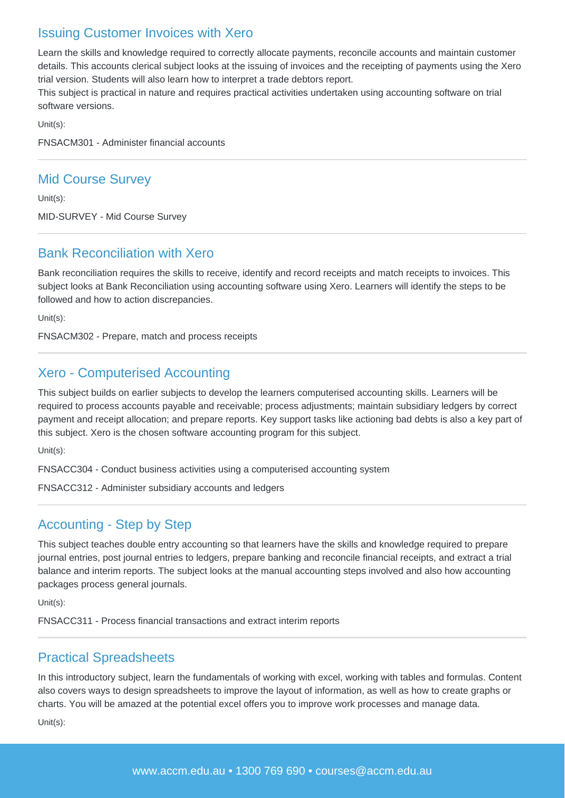#### Issuing Customer Invoices with Xero

Learn the skills and knowledge required to correctly allocate payments, reconcile accounts and maintain customer details. This accounts clerical subject looks at the issuing of invoices and the receipting of payments using the Xero trial version. Students will also learn how to interpret a trade debtors report.

This subject is practical in nature and requires practical activities undertaken using accounting software on trial software versions.

Unit(s):

FNSACM301 - Administer financial accounts

#### Mid Course Survey

Unit(s):

MID-SURVEY - Mid Course Survey

#### Bank Reconciliation with Xero

Bank reconciliation requires the skills to receive, identify and record receipts and match receipts to invoices. This subject looks at Bank Reconciliation using accounting software using Xero. Learners will identify the steps to be followed and how to action discrepancies.

Unit(s):

FNSACM302 - Prepare, match and process receipts

#### Xero - Computerised Accounting

This subject builds on earlier subjects to develop the learners computerised accounting skills. Learners will be required to process accounts payable and receivable; process adjustments; maintain subsidiary ledgers by correct payment and receipt allocation; and prepare reports. Key support tasks like actioning bad debts is also a key part of this subject. Xero is the chosen software accounting program for this subject.

Unit(s):

FNSACC304 - Conduct business activities using a computerised accounting system

FNSACC312 - Administer subsidiary accounts and ledgers

#### Accounting - Step by Step

This subject teaches double entry accounting so that learners have the skills and knowledge required to prepare journal entries, post journal entries to ledgers, prepare banking and reconcile financial receipts, and extract a trial balance and interim reports. The subject looks at the manual accounting steps involved and also how accounting packages process general journals.

Unit(s):

FNSACC311 - Process financial transactions and extract interim reports

#### Practical Spreadsheets

In this introductory subject, learn the fundamentals of working with excel, working with tables and formulas. Content also covers ways to design spreadsheets to improve the layout of information, as well as how to create graphs or charts. You will be amazed at the potential excel offers you to improve work processes and manage data.

Unit(s):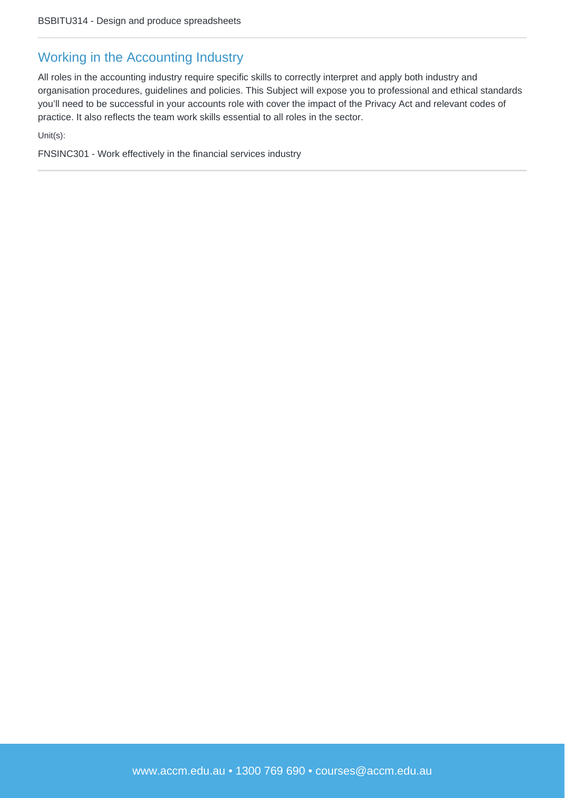#### Working in the Accounting Industry

All roles in the accounting industry require specific skills to correctly interpret and apply both industry and organisation procedures, guidelines and policies. This Subject will expose you to professional and ethical standards you'll need to be successful in your accounts role with cover the impact of the Privacy Act and relevant codes of practice. It also reflects the team work skills essential to all roles in the sector.

Unit(s):

FNSINC301 - Work effectively in the financial services industry